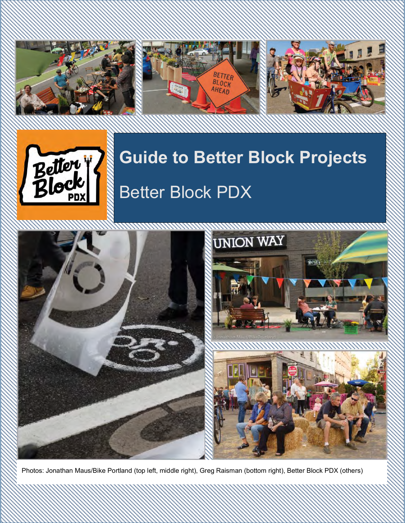







# **Guide to Better Block Projects** Better Block PDX



Photos: Jonathan Maus/Bike Portland (top left, middle right), Greg Raisman (bottom right), Better Block PDX (others)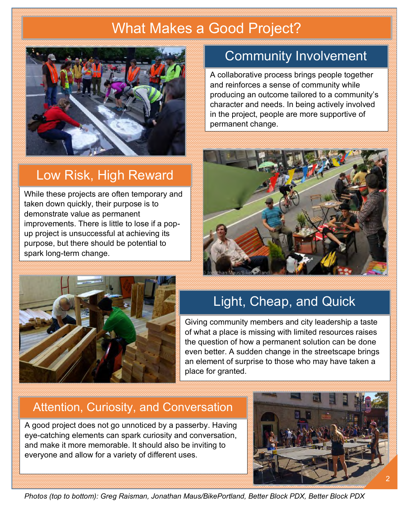# What Makes a Good Project?



#### Low Risk, High Reward

While these projects are often temporary and taken down quickly, their purpose is to demonstrate value as permanent improvements. There is little to lose if a popup project is unsuccessful at achieving its purpose, but there should be potential to spark long-term change.

## Community Involvement

A collaborative process brings people together and reinforces a sense of community while producing an outcome tailored to a community's character and needs. In being actively involved in the project, people are more supportive of permanent change.





# Light, Cheap, and Quick

Giving community members and city leadership a taste of what a place is missing with limited resources raises the question of how a permanent solution can be done even better. A sudden change in the streetscape brings an element of surprise to those who may have taken a place for granted.

#### Attention, Curiosity, and Conversation

A good project does not go unnoticed by a passerby. Having eye-catching elements can spark curiosity and conversation, and make it more memorable. It should also be inviting to everyone and allow for a variety of different uses.



*Photos (top to bottom): Greg Raisman, Jonathan Maus/BikePortland, Better Block PDX, Better Block PDX*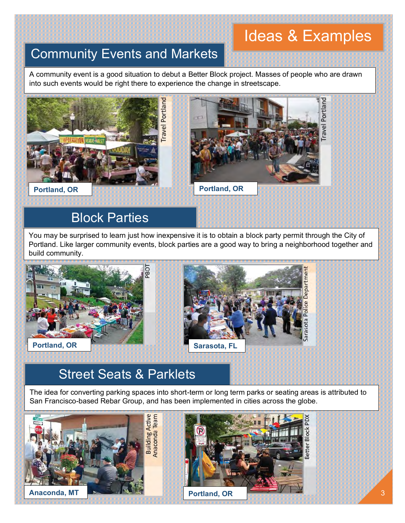# Ideas & Examples

#### Community Events and Markets

A community event is a good situation to debut a Better Block project. Masses of people who are drawn into such events would be right there to experience the change in streetscape.



#### Block Parties

You may be surprised to learn just how inexpensive it is to obtain a block party permit through the City of Portland. Like larger community events, block parties are a good way to bring a neighborhood together and build community.



## Street Seats & Parklets

The idea for converting parking spaces into short-term or long term parks or seating areas is attributed to San Francisco-based Rebar Group, and has been implemented in cities across the globe.

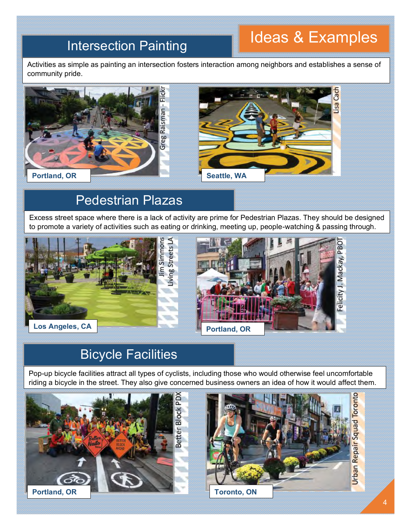# Intersection Painting **Intersection Painting**

Activities as simple as painting an intersection fosters interaction among neighbors and establishes a sense of community pride.



## Pedestrian Plazas

Excess street space where there is a lack of activity are prime for Pedestrian Plazas. They should be designed to promote a variety of activities such as eating or drinking, meeting up, people-watching & passing through.





# Bicycle Facilities

Pop-up bicycle facilities attract all types of cyclists, including those who would otherwise feel uncomfortable riding a bicycle in the street. They also give concerned business owners an idea of how it would affect them.



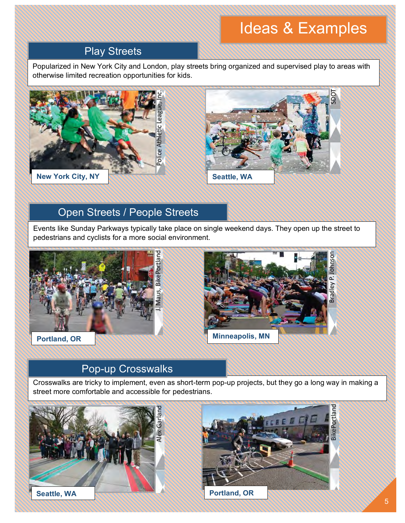# Ideas & Examples

#### Play Streets

Popularized in New York City and London, play streets bring organized and supervised play to areas with otherwise limited recreation opportunities for kids.





#### Open Streets / People Streets

Events like Sunday Parkways typically take place on single weekend days. They open up the street to pedestrians and cyclists for a more social environment.





#### Pop-up Crosswalks

Crosswalks are tricky to implement, even as short-term pop-up projects, but they go a long way in making a street more comfortable and accessible for pedestrians.



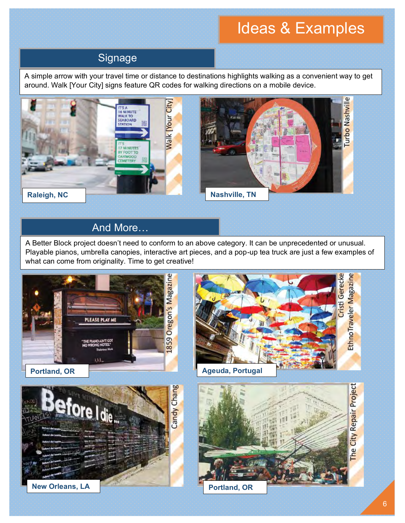# Ideas & Examples

#### **Signage**

A simple arrow with your travel time or distance to destinations highlights walking as a convenient way to get around. Walk [Your City] signs feature QR codes for walking directions on a mobile device.



#### And More…

A Better Block project doesn't need to conform to an above category. It can be unprecedented or unusual. Playable pianos, umbrella canopies, interactive art pieces, and a pop-up tea truck are just a few examples of what can come from originality. Time to get creative!